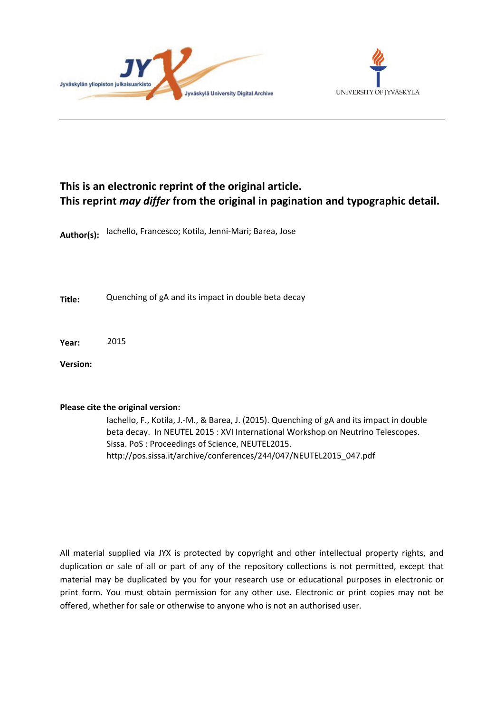



## **This is an electronic reprint of the original article. This reprint** *may differ* **from the original in pagination and typographic detail.**

**Author(s):**  Iachello, Francesco; Kotila, Jenni-Mari; Barea, Jose

**Title:** Quenching of gA and its impact in double beta decay

**Year:**  2015

**Version:**

### **Please cite the original version:**

Iachello, F., Kotila, J.-M., & Barea, J. (2015). Quenching of gA and its impact in double beta decay. In NEUTEL 2015 : XVI International Workshop on Neutrino Telescopes. Sissa. PoS : Proceedings of Science, NEUTEL2015. http://pos.sissa.it/archive/conferences/244/047/NEUTEL2015\_047.pdf

All material supplied via JYX is protected by copyright and other intellectual property rights, and duplication or sale of all or part of any of the repository collections is not permitted, except that material may be duplicated by you for your research use or educational purposes in electronic or print form. You must obtain permission for any other use. Electronic or print copies may not be offered, whether for sale or otherwise to anyone who is not an authorised user.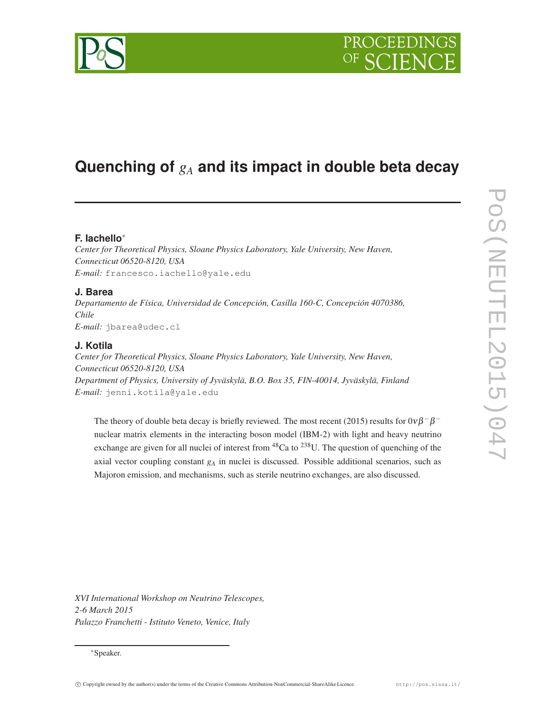# **Quenching of** *g<sup>A</sup>* **and its impact in double beta decay**

### **F. Iachello**<sup>∗</sup>

*Center for Theoretical Physics, Sloane Physics Laboratory, Yale University, New Haven, Connecticut 06520-8120, USA E-mail:* francesco.iachello@yale.edu

#### **J. Barea**

*Departamento de Física, Universidad de Concepción, Casilla 160-C, Concepción 4070386, Chile E-mail:* jbarea@udec.cl

#### **J. Kotila**

*Center for Theoretical Physics, Sloane Physics Laboratory, Yale University, New Haven, Connecticut 06520-8120, USA Department of Physics, University of Jyväskylä, B.O. Box 35, FIN-40014, Jyväskylä, Finland E-mail:* jenni.kotila@yale.edu

The theory of double beta decay is briefly reviewed. The most recent (2015) results for  $0\nu\beta^-\beta^$ nuclear matrix elements in the interacting boson model (IBM-2) with light and heavy neutrino exchange are given for all nuclei of interest from  ${}^{48}Ca$  to  ${}^{238}U$ . The question of quenching of the axial vector coupling constant *g<sup>A</sup>* in nuclei is discussed. Possible additional scenarios, such as Majoron emission, and mechanisms, such as sterile neutrino exchanges, are also discussed.

*XVI International Workshop on Neutrino Telescopes, 2-6 March 2015 Palazzo Franchetti - Istituto Veneto, Venice, Italy*

<sup>∗</sup>Speaker.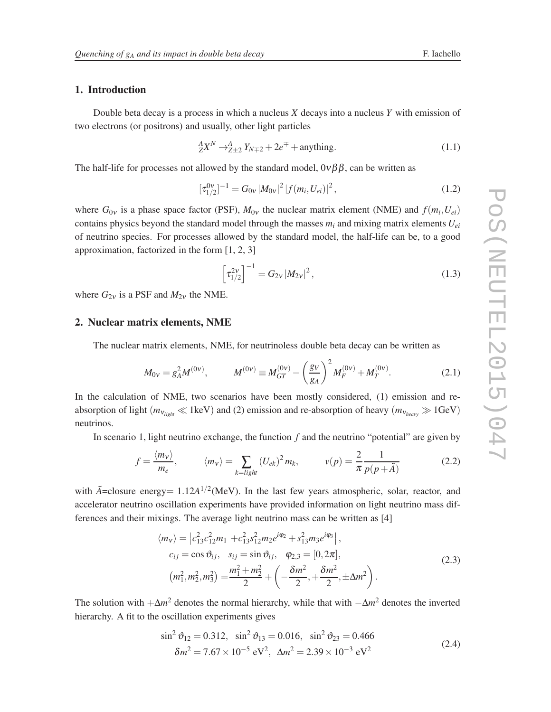#### 1. Introduction

Double beta decay is a process in which a nucleus *X* decays into a nucleus *Y* with emission of two electrons (or positrons) and usually, other light particles

$$
{}_{Z}^{A}X^{N} \rightarrow {}_{Z\pm 2}^{A} Y_{N\mp 2} + 2e^{\mp} + \text{anything.} \tag{1.1}
$$

The half-life for processes not allowed by the standard model,  $0\nu\beta\beta$ , can be written as

$$
[\tau_{1/2}^{0\nu}]^{-1} = G_{0\nu} |M_{0\nu}|^2 |f(m_i, U_{ei})|^2, \qquad (1.2)
$$

where  $G_{0v}$  is a phase space factor (PSF),  $M_{0v}$  the nuclear matrix element (NME) and  $f(m_i, U_{ei})$ contains physics beyond the standard model through the masses  $m_i$  and mixing matrix elements  $U_{ei}$ of neutrino species. For processes allowed by the standard model, the half-life can be, to a good approximation, factorized in the form [1, 2, 3]

$$
\[ \tau_{1/2}^{2\nu} \]^{-1} = G_{2\nu} \, |M_{2\nu}|^2 \,, \tag{1.3}
$$

where  $G_{2v}$  is a PSF and  $M_{2v}$  the NME.

#### 2. Nuclear matrix elements, NME

The nuclear matrix elements, NME, for neutrinoless double beta decay can be written as

$$
M_{0v} = g_A^2 M^{(0v)}, \qquad M^{(0v)} \equiv M_{GT}^{(0v)} - \left(\frac{g_V}{g_A}\right)^2 M_F^{(0v)} + M_T^{(0v)}.
$$
 (2.1)

In the calculation of NME, two scenarios have been mostly considered, (1) emission and reabsorption of light ( $m_{v_{light}} \ll 1 \text{keV}$ ) and (2) emission and re-absorption of heavy ( $m_{v_{heavy}} \gg 1 \text{GeV}$ ) neutrinos.

In scenario 1, light neutrino exchange, the function *f* and the neutrino "potential" are given by

$$
f = \frac{\langle m_v \rangle}{m_e}, \qquad \langle m_v \rangle = \sum_{k = light} (U_{ek})^2 m_k, \qquad v(p) = \frac{2}{\pi} \frac{1}{p(p + \tilde{A})}
$$
(2.2)

with  $\tilde{A}$ =closure energy=  $1.12A^{1/2}$ (MeV). In the last few years atmospheric, solar, reactor, and accelerator neutrino oscillation experiments have provided information on light neutrino mass differences and their mixings. The average light neutrino mass can be written as [4]

$$
\langle m_{\nu} \rangle = \left| c_{13}^2 c_{12}^2 m_1 + c_{13}^2 s_{12}^2 m_2 e^{i\varphi_2} + s_{13}^2 m_3 e^{i\varphi_3} \right|,
$$
  
\n
$$
c_{ij} = \cos \vartheta_{ij}, \quad s_{ij} = \sin \vartheta_{ij}, \quad \varphi_{2,3} = [0, 2\pi],
$$
  
\n
$$
\left( m_1^2, m_2^2, m_3^2 \right) = \frac{m_1^2 + m_2^2}{2} + \left( -\frac{\delta m^2}{2}, +\frac{\delta m^2}{2}, \pm \Delta m^2 \right).
$$
 (2.3)

The solution with +∆*m* <sup>2</sup> denotes the normal hierarchy, while that with −∆*m* <sup>2</sup> denotes the inverted hierarchy. A fit to the oscillation experiments gives

$$
\sin^2 \theta_{12} = 0.312, \quad \sin^2 \theta_{13} = 0.016, \quad \sin^2 \theta_{23} = 0.466
$$
  

$$
\delta m^2 = 7.67 \times 10^{-5} \text{ eV}^2, \quad \Delta m^2 = 2.39 \times 10^{-3} \text{ eV}^2
$$
 (2.4)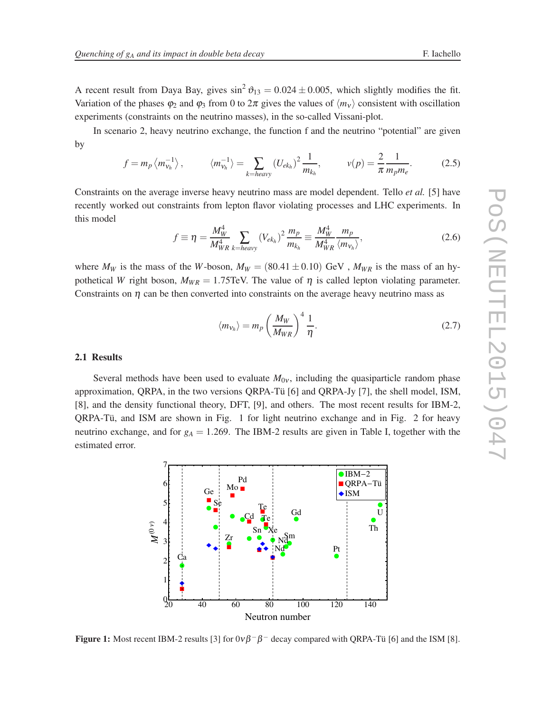A recent result from Daya Bay, gives  $\sin^2 \theta_{13} = 0.024 \pm 0.005$ , which slightly modifies the fit. Variation of the phases  $\varphi_2$  and  $\varphi_3$  from 0 to  $2\pi$  gives the values of  $\langle m_v \rangle$  consistent with oscillation experiments (constraints on the neutrino masses), in the so-called Vissani-plot.

In scenario 2, heavy neutrino exchange, the function f and the neutrino "potential" are given by

$$
f = m_p \langle m_{v_h}^{-1} \rangle, \qquad \langle m_{v_h}^{-1} \rangle = \sum_{k = heavy} (U_{ek_h})^2 \frac{1}{m_{k_h}}, \qquad v(p) = \frac{2}{\pi} \frac{1}{m_p m_e}.
$$
 (2.5)

Constraints on the average inverse heavy neutrino mass are model dependent. Tello *et al.* [5] have recently worked out constraints from lepton flavor violating processes and LHC experiments. In this model

$$
f \equiv \eta = \frac{M_W^4}{M_{WR}^4} \sum_{k = heavy} (V_{ek_h})^2 \frac{m_p}{m_{k_h}} \equiv \frac{M_W^4}{M_{WR}^4} \frac{m_p}{\langle m_{\nu_h} \rangle},
$$
(2.6)

where  $M_W$  is the mass of the *W*-boson,  $M_W = (80.41 \pm 0.10)$  GeV,  $M_{WR}$  is the mass of an hypothetical *W* right boson,  $M_{WR} = 1.75$ TeV. The value of  $\eta$  is called lepton violating parameter. Constraints on  $\eta$  can be then converted into constraints on the average heavy neutrino mass as

$$
\langle m_{v_h} \rangle = m_p \left( \frac{M_W}{M_{WR}} \right)^4 \frac{1}{\eta}.
$$
 (2.7)

#### 2.1 Results

Several methods have been used to evaluate  $M_{0v}$ , including the quasiparticle random phase approximation, QRPA, in the two versions QRPA-Tü [6] and QRPA-Jy [7], the shell model, ISM, [8], and the density functional theory, DFT, [9], and others. The most recent results for IBM-2, QRPA-Tü, and ISM are shown in Fig. 1 for light neutrino exchange and in Fig. 2 for heavy neutrino exchange, and for  $g_A = 1.269$ . The IBM-2 results are given in Table I, together with the estimated error.

æ æ æ æ  $\bullet$ æ æ æ æ æ æ ŏ æ æ Gd æ Pt æ æ à à à à à à à à à ì  $\bullet$   $\bullet$   $\bullet$   $\bullet$ **้∙** ì Ca Se Zr Cd Sn Te Te Xe Nd <sub>Ng</sub>S<sub>m</sub> Th U  $\frac{0}{20}$  40 60 80 100 120 140 1  $\mathcal{D}_{\mathcal{L}}$ 3 4 5 Neutron number  $M^{(0)}$ 

**Figure 1:** Most recent IBM-2 results [3] for  $0\nu\beta^{-}\beta^{-}$  decay compared with QRPA-Tü [6] and the ISM [8].



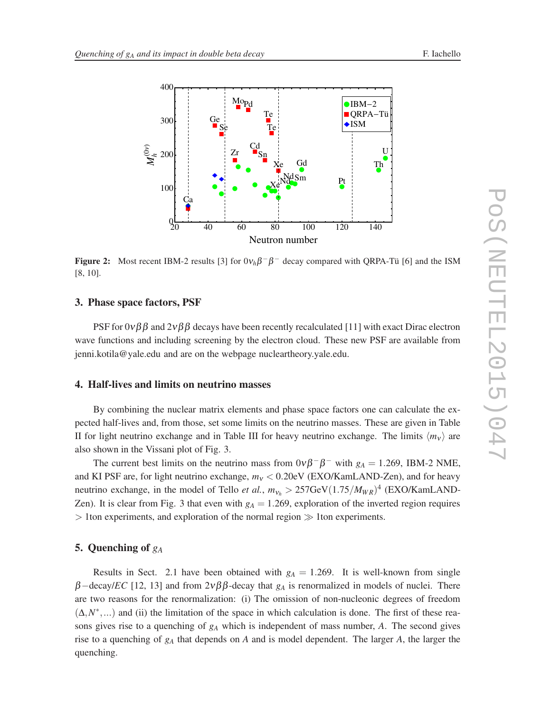

**Figure 2:** Most recent IBM-2 results [3] for  $0v_h\beta^{-}\beta^{-}$  decay compared with QRPA-Tü [6] and the ISM [8, 10].

#### 3. Phase space factors, PSF

PSF for  $0\nu\beta\beta$  and  $2\nu\beta\beta$  decays have been recently recalculated [11] with exact Dirac electron wave functions and including screening by the electron cloud. These new PSF are available from jenni.kotila@yale.edu and are on the webpage nucleartheory.yale.edu.

#### 4. Half-lives and limits on neutrino masses

By combining the nuclear matrix elements and phase space factors one can calculate the expected half-lives and, from those, set some limits on the neutrino masses. These are given in Table II for light neutrino exchange and in Table III for heavy neutrino exchange. The limits  $\langle m_v \rangle$  are also shown in the Vissani plot of Fig. 3.

The current best limits on the neutrino mass from  $0\nu\beta^{-}\beta^{-}$  with  $g_A = 1.269$ , IBM-2 NME, and KI PSF are, for light neutrino exchange,  $m<sub>v</sub> < 0.20$ eV (EXO/KamLAND-Zen), and for heavy neutrino exchange, in the model of Tello *et al.*,  $m_{v_h} > 257 \text{GeV} (1.75/M_{WR})^4$  (EXO/KamLAND-Zen). It is clear from Fig. 3 that even with  $g_A = 1.269$ , exploration of the inverted region requires > 1ton experiments, and exploration of the normal region ≫ 1ton experiments.

#### 5. Quenching of *g<sup>A</sup>*

Results in Sect. 2.1 have been obtained with  $g_A = 1.269$ . It is well-known from single β−decay/*EC* [12, 13] and from 2νββ-decay that *g<sup>A</sup>* is renormalized in models of nuclei. There are two reasons for the renormalization: (i) The omission of non-nucleonic degrees of freedom  $(\Delta, N^*,...)$  and (ii) the limitation of the space in which calculation is done. The first of these reasons gives rise to a quenching of *g<sup>A</sup>* which is independent of mass number, *A*. The second gives rise to a quenching of *g<sup>A</sup>* that depends on *A* and is model dependent. The larger *A*, the larger the quenching.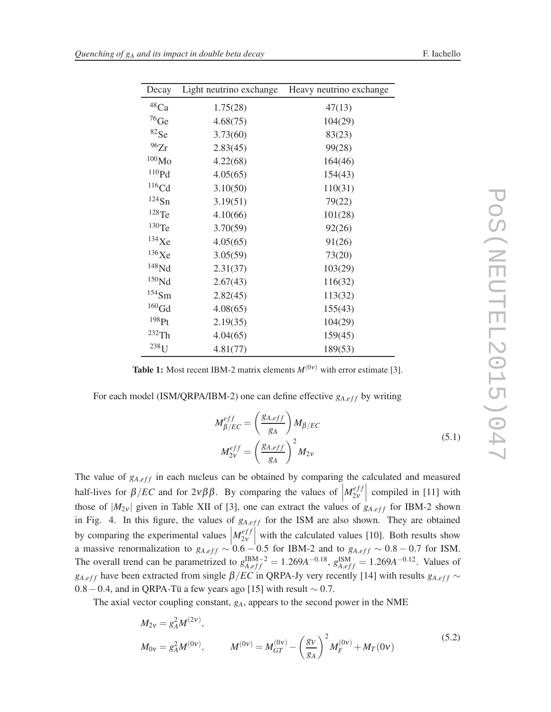| Decay                 | Light neutrino exchange | Heavy neutrino exchange |
|-----------------------|-------------------------|-------------------------|
| $^{48}\mathrm{Ca}$    | 1.75(28)                | 47(13)                  |
| $^{76}$ Ge            | 4.68(75)                | 104(29)                 |
| ${}^{82}Se$           | 3.73(60)                | 83(23)                  |
| 96Zr                  | 2.83(45)                | 99(28)                  |
| $^{100}\rm{Mo}$       | 4.22(68)                | 164(46)                 |
| ${}^{110}\mathrm{Pd}$ | 4.05(65)                | 154(43)                 |
| $116$ Cd              | 3.10(50)                | 110(31)                 |
| $^{124}Sn$            | 3.19(51)                | 79(22)                  |
| $128$ Te              | 4.10(66)                | 101(28)                 |
| $^{130}$ Te $\,$      | 3.70(59)                | 92(26)                  |
| $134$ Xe              | 4.05(65)                | 91(26)                  |
| 136Xe                 | 3.05(59)                | 73(20)                  |
| ${}^{148}\mathrm{Nd}$ | 2.31(37)                | 103(29)                 |
| $^{150}\rm{Nd}$       | 2.67(43)                | 116(32)                 |
| $154$ Sm              | 2.82(45)                | 113(32)                 |
| ${}^{160}\mathrm{Gd}$ | 4.08(65)                | 155(43)                 |
| 198Pt                 | 2.19(35)                | 104(29)                 |
| 232Th                 | 4.04(65)                | 159(45)                 |
| $238$ U               | 4.81(77)                | 189(53)                 |

| j                        |
|--------------------------|
| I                        |
|                          |
|                          |
|                          |
|                          |
|                          |
| 1                        |
|                          |
|                          |
|                          |
| $\overline{\phantom{0}}$ |
| J<br>٦                   |
|                          |
| Ξ<br>١                   |
| I                        |
|                          |

 $\overline{a}$ 

**Table 1:** Most recent IBM-2 matrix elements  $M^{(0\nu)}$  with error estimate [3].

For each model (ISM/QRPA/IBM-2) one can define effective  $g_{A,eff}$  by writing

$$
M_{\beta/EC}^{eff} = \left(\frac{g_{A,eff}}{g_A}\right) M_{\beta/EC}
$$
  

$$
M_{2v}^{eff} = \left(\frac{g_{A,eff}}{g_A}\right)^2 M_{2v}
$$
 (5.1)

The value of  $g_{A,eff}$  in each nucleus can be obtained by comparing the calculated and measured half-lives for  $\beta/EC$  and for  $2\nu\beta\beta$ . By comparing the values of  $\left|M_{2\nu}^{eff}\right|$ those of  $|M_{2v}|$  given in Table XII of [3], one can extract the values of  $g_{A,eff}$  for IBM-2 shown  $\begin{bmatrix} \frac{eff}{2v} \\ \frac{1}{2v} \end{bmatrix}$  compiled in [11] with in Fig. 4. In this figure, the values of  $g_{A,eff}$  for the ISM are also shown. They are obtained by comparing the experimental values  $M_{2v}^{eff}$ a massive renormalization to  $g_{A,eff} \sim 0.6 - 0.5$  for IBM-2 and to  $g_{A,eff} \sim 0.8 - 0.7$  for ISM.  $\begin{bmatrix} 2v \\ 2v \end{bmatrix}$  with the calculated values [10]. Both results show The overall trend can be parametrized to  $g_{A,eff}^{IBM-2} = 1.269A^{-0.18}$ ,  $g_{A,eff}^{ISM} = 1.269A^{-0.12}$ . Values of  $g_{A,eff}$  have been extracted from single  $\beta/EC$  in QRPA-Jy very recently [14] with results  $g_{A,eff}$  ∼  $0.8-0.4$ , and in QRPA-Tü a few years ago [15] with result ~ 0.7.

The axial vector coupling constant, *gA*, appears to the second power in the NME

$$
M_{2v} = g_A^2 M^{(2v)},
$$
  
\n
$$
M_{0v} = g_A^2 M^{(0v)},
$$
  
\n
$$
M^{(0v)} = M_{GT}^{(0v)} - \left(\frac{g_V}{g_A}\right)^2 M_F^{(0v)} + M_T(0v)
$$
\n(5.2)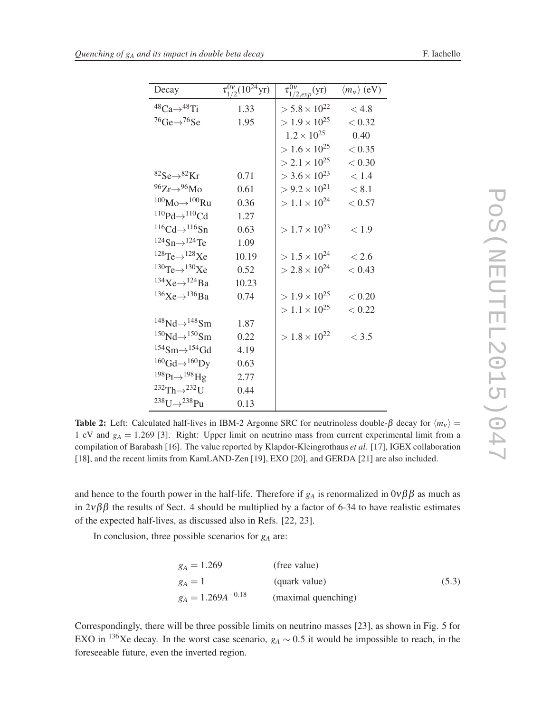| Decay                                             | $\tau_{1/2}^{0\nu}(10^{24} \text{yr})$ | $\overline{\tau_{1/2,exp}^{0\nu}(\mathrm{yr})}$ | $\langle m_{V} \rangle$ (eV) |
|---------------------------------------------------|----------------------------------------|-------------------------------------------------|------------------------------|
| ${}^{48}Ca \rightarrow {}^{48}Ti$                 | 1.33                                   | $> 5.8 \times 10^{22}$                          | < 4.8                        |
| $^{76}$ Ge $\rightarrow$ <sup>76</sup> Se         | 1.95                                   | $> 1.9 \times 10^{25}$                          | < 0.32                       |
|                                                   |                                        | $1.2 \times 10^{25}$                            | 0.40                         |
|                                                   |                                        | $> 1.6 \times 10^{25}$                          | < 0.35                       |
|                                                   |                                        | $>$ 2.1 $\times$ 10 <sup>25</sup>               | < 0.30                       |
| ${}^{82}Se \rightarrow {}^{82}Kr$                 | 0.71                                   | $>$ 3.6 $\times$ 10 <sup>23</sup>               | < 1.4                        |
| $96Zr \rightarrow 96Mo$                           | 0.61                                   | $> 9.2 \times 10^{21}$                          | < 8.1                        |
| $100M_0 \rightarrow 100Ru$                        | 0.36                                   | $> 1.1 \times 10^{24}$                          | < 0.57                       |
| $^{110}Pd \rightarrow ^{110}Cd$                   | 1.27                                   |                                                 |                              |
| $^{116}Cd \rightarrow ^{116}Sn$                   | 0.63                                   | $> 1.7 \times 10^{23}$                          | < 1.9                        |
| $124$ Sn $\rightarrow$ $124$ Te                   | 1.09                                   |                                                 |                              |
| $^{128}$ Te $\rightarrow$ $^{128}$ Xe             | 10.19                                  | $> 1.5 \times 10^{24}$                          | < 2.6                        |
| $^{130}$ Te $\rightarrow$ $^{130}$ Xe             | 0.52                                   | $>$ 2.8 $\times$ 10 <sup>24</sup>               | < 0.43                       |
| $134$ Xe $\rightarrow$ $124$ Ba                   | 10.23                                  |                                                 |                              |
| $^{136}\text{Xe} \rightarrow ^{136}\text{Ba}$     | 0.74                                   | $> 1.9 \times 10^{25}$                          | < 0.20                       |
|                                                   |                                        | $> 1.1 \times 10^{25}$                          | < 0.22                       |
| $^{148}\text{Nd}\rightarrow ^{148}\text{Sm}$      | 1.87                                   |                                                 |                              |
| $^{150}\text{Nd}\rightarrow ^{150}\text{Sm}$      | 0.22                                   | $> 1.8 \times 10^{22}$                          | < 3.5                        |
| $154$ Sm $\rightarrow$ $154$ Gd                   | 4.19                                   |                                                 |                              |
| ${}^{160}\text{Gd} \rightarrow {}^{160}\text{Dy}$ | 0.63                                   |                                                 |                              |
| $^{198}$ Pt $\rightarrow$ $^{198}$ Hg             | 2.77                                   |                                                 |                              |
| $^{232}Th \rightarrow ^{232}IJ$                   | 0.44                                   |                                                 |                              |
| $^{238}$ U $\rightarrow$ $^{238}$ Pu              | 0.13                                   |                                                 |                              |

Table 2: Left: Calculated half-lives in IBM-2 Argonne SRC for neutrinoless double- $\beta$  decay for  $\langle m_v \rangle$  = 1 eV and *g<sup>A</sup>* = 1.269 [3]. Right: Upper limit on neutrino mass from current experimental limit from a compilation of Barabash [16]. The value reported by Klapdor-Kleingrothaus *et al.* [17], IGEX collaboration [18], and the recent limits from KamLAND-Zen [19], EXO [20], and GERDA [21] are also included.

and hence to the fourth power in the half-life. Therefore if  $g_A$  is renormalized in  $0\nu\beta\beta$  as much as in  $2\nu\beta\beta$  the results of Sect. 4 should be multiplied by a factor of 6-34 to have realistic estimates of the expected half-lives, as discussed also in Refs. [22, 23].

In conclusion, three possible scenarios for *g<sup>A</sup>* are:

$$
g_A = 1.269
$$
 (free value)  
\n
$$
g_A = 1
$$
 (quark value) (5.3)  
\n
$$
g_A = 1.269A^{-0.18}
$$
 (maximal quenching)

Correspondingly, there will be three possible limits on neutrino masses [23], as shown in Fig. 5 for EXO in <sup>136</sup>Xe decay. In the worst case scenario,  $g_A \sim 0.5$  it would be impossible to reach, in the foreseeable future, even the inverted region.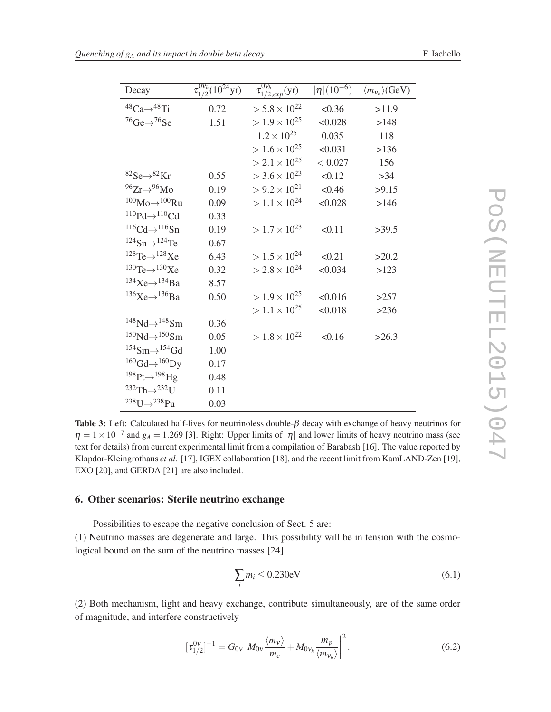| Decay                                             | $\tau_{1/2}^{0v_h}(10^{24}yr)$ | $\overline{\tau_{1/2,exp}^{0v_h}(\mathrm{yr})}$ | $ \eta  (10^{-6})$ | $\langle m_{v_h} \rangle$ (GeV) |
|---------------------------------------------------|--------------------------------|-------------------------------------------------|--------------------|---------------------------------|
| ${}^{48}Ca \rightarrow {}^{48}Ti$                 | 0.72                           | $> 5.8 \times 10^{22}$                          | < 0.36             | >11.9                           |
| $^{76}$ Ge $\rightarrow ^{76}$ Se                 | 1.51                           | $> 1.9 \times 10^{25}$                          | < 0.028            | >148                            |
|                                                   |                                | $1.2 \times 10^{25}$                            | 0.035              | 118                             |
|                                                   |                                | $> 1.6 \times 10^{25}$                          | < 0.031            | >136                            |
|                                                   |                                | $>$ 2.1 $\times$ 10 <sup>25</sup>               | < 0.027            | 156                             |
| ${}^{82}Se \rightarrow {}^{82}Kr$                 | 0.55                           | $>$ 3.6 $\times$ 10 <sup>23</sup>               | < 0.12             | $>34$                           |
| $96Zr \rightarrow 96Mo$                           | 0.19                           | $> 9.2 \times 10^{21}$                          | < 0.46             | >9.15                           |
| $100$ Mo $\rightarrow$ $100$ Ru                   | 0.09                           | $> 1.1 \times 10^{24}$                          | < 0.028            | >146                            |
| ${}^{110}\text{Pd}{\rightarrow}{}^{110}\text{Cd}$ | 0.33                           |                                                 |                    |                                 |
| ${}^{116}Cd \rightarrow {}^{116}Sn$               | 0.19                           | $> 1.7 \times 10^{23}$                          | < 0.11             | >39.5                           |
| $124$ Sn $\rightarrow$ $124$ Te                   | 0.67                           |                                                 |                    |                                 |
| $128$ Te $\rightarrow$ $128$ Xe                   | 6.43                           | $> 1.5 \times 10^{24}$                          | < 0.21             | >20.2                           |
| $^{130}$ Te $\rightarrow$ $^{130}$ Xe             | 0.32                           | $>$ 2.8 $\times$ 10 <sup>24</sup>               | < 0.034            | >123                            |
| $134$ Xe $\rightarrow$ $134$ Ba                   | 8.57                           |                                                 |                    |                                 |
| $136\times e \rightarrow 136\times e$             | 0.50                           | $> 1.9 \times 10^{25}$                          | < 0.016            | >257                            |
|                                                   |                                | $> 1.1 \times 10^{25}$                          | < 0.018            | >236                            |
| $148$ Nd $\rightarrow$ $148$ Sm                   | 0.36                           |                                                 |                    |                                 |
| $150\text{Nd} \rightarrow 150\text{Sm}$           | 0.05                           | $> 1.8 \times 10^{22}$                          | < 0.16             | >26.3                           |
| $154$ Sm $\rightarrow$ $154$ Gd                   | 1.00                           |                                                 |                    |                                 |
| ${}^{160}\text{Gd} \rightarrow {}^{160}\text{Dy}$ | 0.17                           |                                                 |                    |                                 |
| $^{198}$ Pt $\rightarrow$ $^{198}$ Hg             | 0.48                           |                                                 |                    |                                 |
| $^{232}Th \rightarrow ^{232}U$                    | 0.11                           |                                                 |                    |                                 |
| $^{238}$ U $\rightarrow$ $^{238}$ Pu              | 0.03                           |                                                 |                    |                                 |

Table 3: Left: Calculated half-lives for neutrinoless double- $\beta$  decay with exchange of heavy neutrinos for  $\eta = 1 \times 10^{-7}$  and  $g_A = 1.269$  [3]. Right: Upper limits of  $|\eta|$  and lower limits of heavy neutrino mass (see text for details) from current experimental limit from a compilation of Barabash [16]. The value reported by Klapdor-Kleingrothaus *et al.* [17], IGEX collaboration [18], and the recent limit from KamLAND-Zen [19], EXO [20], and GERDA [21] are also included.

#### 6. Other scenarios: Sterile neutrino exchange

Possibilities to escape the negative conclusion of Sect. 5 are: (1) Neutrino masses are degenerate and large. This possibility will be in tension with the cosmological bound on the sum of the neutrino masses [24]

$$
\sum_{i} m_i \le 0.230 \text{eV} \tag{6.1}
$$

(2) Both mechanism, light and heavy exchange, contribute simultaneously, are of the same order of magnitude, and interfere constructively

$$
[\tau_{1/2}^{0\nu}]^{-1} = G_{0\nu} \left| M_{0\nu} \frac{\langle m_{\nu} \rangle}{m_e} + M_{0\nu_h} \frac{m_p}{\langle m_{\nu_h} \rangle} \right|^2.
$$
 (6.2)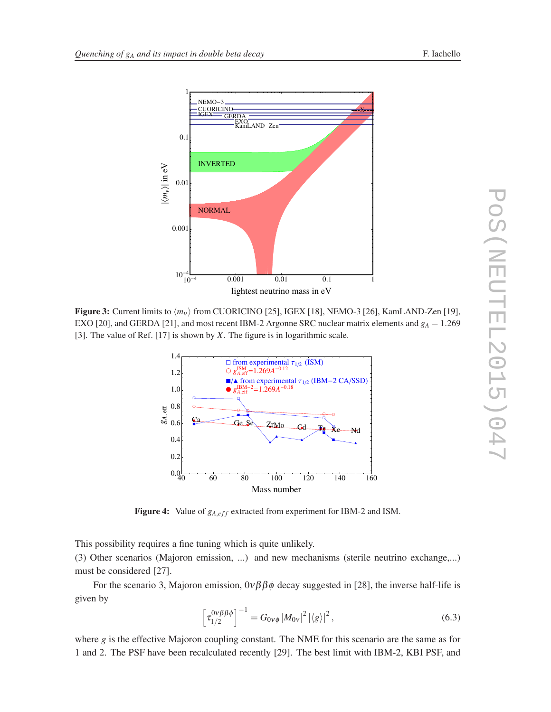

Figure 3: Current limits to  $\langle m_{\nu} \rangle$  from CUORICINO [25], IGEX [18], NEMO-3 [26], KamLAND-Zen [19], EXO [20], and GERDA [21], and most recent IBM-2 Argonne SRC nuclear matrix elements and *g<sup>A</sup>* = 1.269 [3]. The value of Ref. [17] is shown by *X*. The figure is in logarithmic scale.



**Figure 4:** Value of  $g_{A,eff}$  extracted from experiment for IBM-2 and ISM.

This possibility requires a fine tuning which is quite unlikely.

(3) Other scenarios (Majoron emission, ...) and new mechanisms (sterile neutrino exchange,...) must be considered [27].

For the scenario 3, Majoron emission,  $0\nu\beta\beta\phi$  decay suggested in [28], the inverse half-life is given by

$$
\[ \tau_{1/2}^{0\nu\beta\beta\phi} \]^{-1} = G_{0\nu\phi} \, |M_{0\nu}|^2 \, |\langle g \rangle|^2 \,, \tag{6.3}
$$

where  $g$  is the effective Majoron coupling constant. The NME for this scenario are the same as for 1 and 2. The PSF have been recalculated recently [29]. The best limit with IBM-2, KBI PSF, and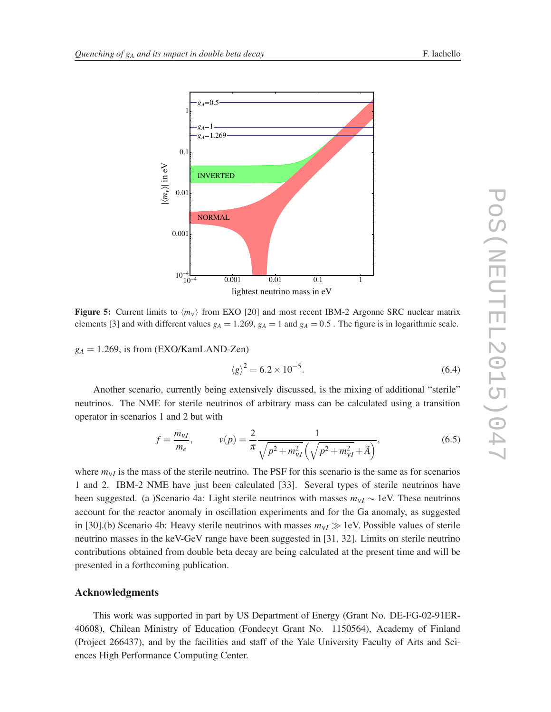

**Figure 5:** Current limits to  $\langle m_v \rangle$  from EXO [20] and most recent IBM-2 Argonne SRC nuclear matrix elements [3] and with different values  $g_A = 1.269$ ,  $g_A = 1$  and  $g_A = 0.5$ . The figure is in logarithmic scale.

 $g_A = 1.269$ , is from (EXO/KamLAND-Zen)

$$
\langle g \rangle^2 = 6.2 \times 10^{-5}.
$$
\n
$$
(6.4)
$$

Another scenario, currently being extensively discussed, is the mixing of additional "sterile" neutrinos. The NME for sterile neutrinos of arbitrary mass can be calculated using a transition operator in scenarios 1 and 2 but with

$$
f = \frac{m_{VI}}{m_e}, \qquad v(p) = \frac{2}{\pi} \frac{1}{\sqrt{p^2 + m_{VI}^2} \left(\sqrt{p^2 + m_{VI}^2} + \tilde{A}\right)},
$$
(6.5)

where  $m_{VI}$  is the mass of the sterile neutrino. The PSF for this scenario is the same as for scenarios 1 and 2. IBM-2 NME have just been calculated [33]. Several types of sterile neutrinos have been suggested. (a )Scenario 4a: Light sterile neutrinos with masses  $m_{VI} \sim 1$ eV. These neutrinos account for the reactor anomaly in oscillation experiments and for the Ga anomaly, as suggested in [30].(b) Scenario 4b: Heavy sterile neutrinos with masses  $m_{VI} \gg 1$ eV. Possible values of sterile neutrino masses in the keV-GeV range have been suggested in [31, 32]. Limits on sterile neutrino contributions obtained from double beta decay are being calculated at the present time and will be presented in a forthcoming publication.

#### Acknowledgments

This work was supported in part by US Department of Energy (Grant No. DE-FG-02-91ER-40608), Chilean Ministry of Education (Fondecyt Grant No. 1150564), Academy of Finland (Project 266437), and by the facilities and staff of the Yale University Faculty of Arts and Sciences High Performance Computing Center.